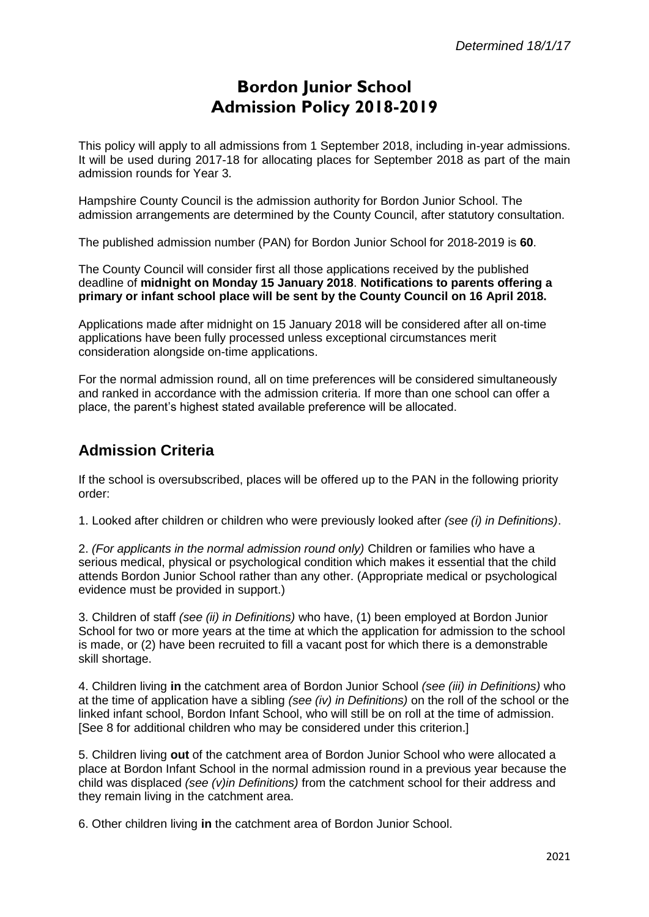# **Bordon Junior School Admission Policy 2018-2019**

This policy will apply to all admissions from 1 September 2018, including in-year admissions. It will be used during 2017-18 for allocating places for September 2018 as part of the main admission rounds for Year 3.

Hampshire County Council is the admission authority for Bordon Junior School. The admission arrangements are determined by the County Council, after statutory consultation.

The published admission number (PAN) for Bordon Junior School for 2018-2019 is **60**.

The County Council will consider first all those applications received by the published deadline of **midnight on Monday 15 January 2018**. **Notifications to parents offering a primary or infant school place will be sent by the County Council on 16 April 2018.**

Applications made after midnight on 15 January 2018 will be considered after all on-time applications have been fully processed unless exceptional circumstances merit consideration alongside on-time applications.

For the normal admission round, all on time preferences will be considered simultaneously and ranked in accordance with the admission criteria. If more than one school can offer a place, the parent's highest stated available preference will be allocated.

## **Admission Criteria**

If the school is oversubscribed, places will be offered up to the PAN in the following priority order:

1. Looked after children or children who were previously looked after *(see (i) in Definitions)*.

2. *(For applicants in the normal admission round only)* Children or families who have a serious medical, physical or psychological condition which makes it essential that the child attends Bordon Junior School rather than any other. (Appropriate medical or psychological evidence must be provided in support.)

3. Children of staff *(see (ii) in Definitions)* who have, (1) been employed at Bordon Junior School for two or more years at the time at which the application for admission to the school is made, or (2) have been recruited to fill a vacant post for which there is a demonstrable skill shortage.

4. Children living **in** the catchment area of Bordon Junior School *(see (iii) in Definitions)* who at the time of application have a sibling *(see (iv) in Definitions)* on the roll of the school or the linked infant school, Bordon Infant School, who will still be on roll at the time of admission. [See 8 for additional children who may be considered under this criterion.]

5. Children living **out** of the catchment area of Bordon Junior School who were allocated a place at Bordon Infant School in the normal admission round in a previous year because the child was displaced *(see (v)in Definitions)* from the catchment school for their address and they remain living in the catchment area.

6. Other children living **in** the catchment area of Bordon Junior School.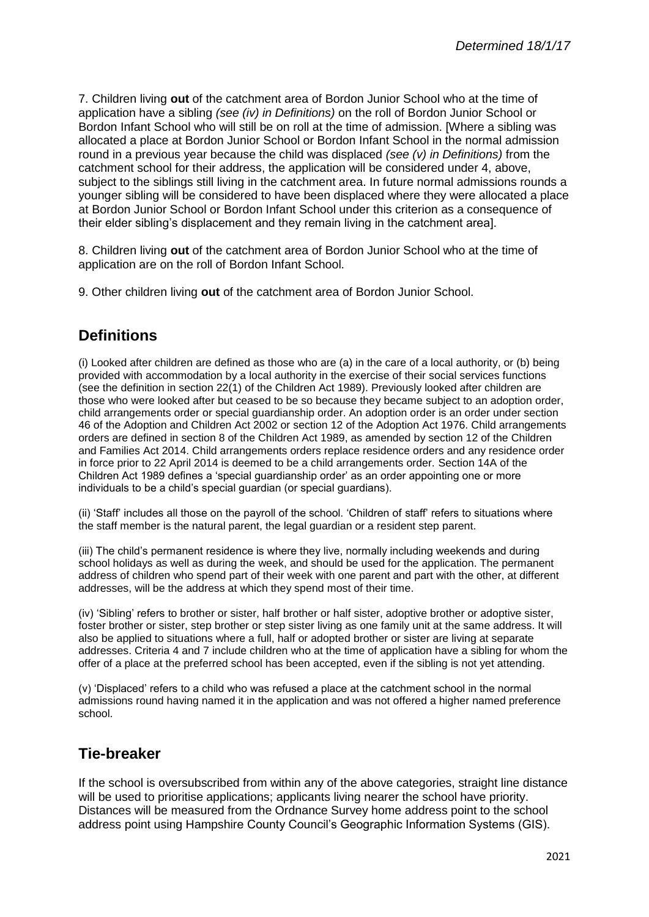7. Children living **out** of the catchment area of Bordon Junior School who at the time of application have a sibling *(see (iv) in Definitions)* on the roll of Bordon Junior School or Bordon Infant School who will still be on roll at the time of admission. [Where a sibling was allocated a place at Bordon Junior School or Bordon Infant School in the normal admission round in a previous year because the child was displaced *(see (v) in Definitions)* from the catchment school for their address, the application will be considered under 4, above, subject to the siblings still living in the catchment area. In future normal admissions rounds a younger sibling will be considered to have been displaced where they were allocated a place at Bordon Junior School or Bordon Infant School under this criterion as a consequence of their elder sibling's displacement and they remain living in the catchment area].

8. Children living **out** of the catchment area of Bordon Junior School who at the time of application are on the roll of Bordon Infant School.

9. Other children living **out** of the catchment area of Bordon Junior School.

## **Definitions**

(i) Looked after children are defined as those who are (a) in the care of a local authority, or (b) being provided with accommodation by a local authority in the exercise of their social services functions (see the definition in section 22(1) of the Children Act 1989). Previously looked after children are those who were looked after but ceased to be so because they became subject to an adoption order, child arrangements order or special guardianship order. An adoption order is an order under section 46 of the Adoption and Children Act 2002 or section 12 of the Adoption Act 1976. Child arrangements orders are defined in section 8 of the Children Act 1989, as amended by section 12 of the Children and Families Act 2014. Child arrangements orders replace residence orders and any residence order in force prior to 22 April 2014 is deemed to be a child arrangements order. Section 14A of the Children Act 1989 defines a 'special guardianship order' as an order appointing one or more individuals to be a child's special guardian (or special guardians).

(ii) 'Staff' includes all those on the payroll of the school. 'Children of staff' refers to situations where the staff member is the natural parent, the legal guardian or a resident step parent.

(iii) The child's permanent residence is where they live, normally including weekends and during school holidays as well as during the week, and should be used for the application. The permanent address of children who spend part of their week with one parent and part with the other, at different addresses, will be the address at which they spend most of their time.

(iv) 'Sibling' refers to brother or sister, half brother or half sister, adoptive brother or adoptive sister, foster brother or sister, step brother or step sister living as one family unit at the same address. It will also be applied to situations where a full, half or adopted brother or sister are living at separate addresses. Criteria 4 and 7 include children who at the time of application have a sibling for whom the offer of a place at the preferred school has been accepted, even if the sibling is not yet attending.

(v) 'Displaced' refers to a child who was refused a place at the catchment school in the normal admissions round having named it in the application and was not offered a higher named preference school.

### **Tie-breaker**

If the school is oversubscribed from within any of the above categories, straight line distance will be used to prioritise applications; applicants living nearer the school have priority. Distances will be measured from the Ordnance Survey home address point to the school address point using Hampshire County Council's Geographic Information Systems (GIS).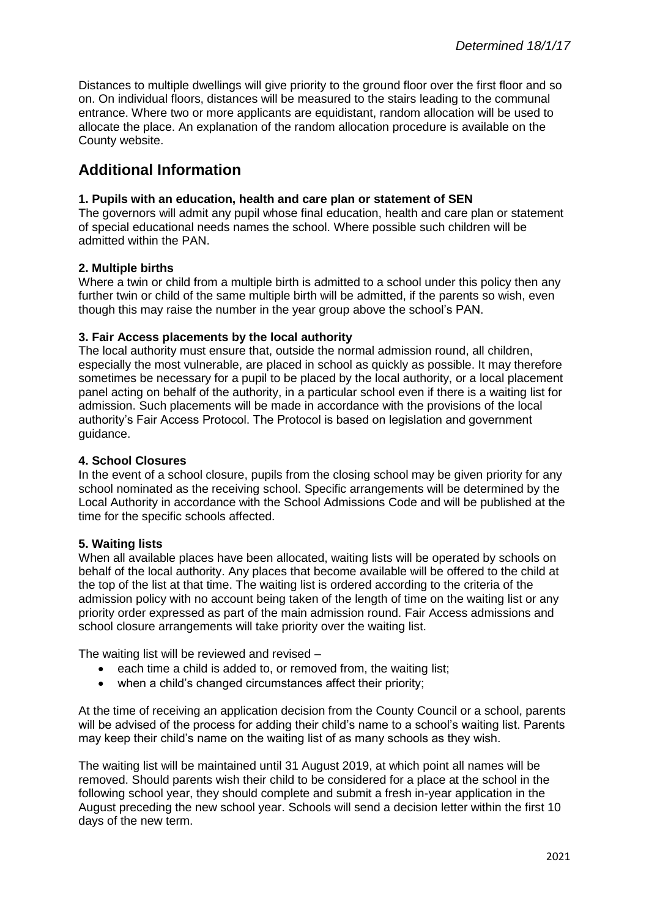Distances to multiple dwellings will give priority to the ground floor over the first floor and so on. On individual floors, distances will be measured to the stairs leading to the communal entrance. Where two or more applicants are equidistant, random allocation will be used to allocate the place. An explanation of the random allocation procedure is available on the County website.

# **Additional Information**

#### **1. Pupils with an education, health and care plan or statement of SEN**

The governors will admit any pupil whose final education, health and care plan or statement of special educational needs names the school. Where possible such children will be admitted within the PAN.

#### **2. Multiple births**

Where a twin or child from a multiple birth is admitted to a school under this policy then any further twin or child of the same multiple birth will be admitted, if the parents so wish, even though this may raise the number in the year group above the school's PAN.

### **3. Fair Access placements by the local authority**

The local authority must ensure that, outside the normal admission round, all children, especially the most vulnerable, are placed in school as quickly as possible. It may therefore sometimes be necessary for a pupil to be placed by the local authority, or a local placement panel acting on behalf of the authority, in a particular school even if there is a waiting list for admission. Such placements will be made in accordance with the provisions of the local authority's Fair Access Protocol. The Protocol is based on legislation and government guidance.

#### **4. School Closures**

In the event of a school closure, pupils from the closing school may be given priority for any school nominated as the receiving school. Specific arrangements will be determined by the Local Authority in accordance with the School Admissions Code and will be published at the time for the specific schools affected.

#### **5. Waiting lists**

When all available places have been allocated, waiting lists will be operated by schools on behalf of the local authority. Any places that become available will be offered to the child at the top of the list at that time. The waiting list is ordered according to the criteria of the admission policy with no account being taken of the length of time on the waiting list or any priority order expressed as part of the main admission round. Fair Access admissions and school closure arrangements will take priority over the waiting list.

The waiting list will be reviewed and revised –

- each time a child is added to, or removed from, the waiting list;
- when a child's changed circumstances affect their priority;

At the time of receiving an application decision from the County Council or a school, parents will be advised of the process for adding their child's name to a school's waiting list. Parents may keep their child's name on the waiting list of as many schools as they wish.

The waiting list will be maintained until 31 August 2019, at which point all names will be removed. Should parents wish their child to be considered for a place at the school in the following school year, they should complete and submit a fresh in-year application in the August preceding the new school year. Schools will send a decision letter within the first 10 days of the new term.